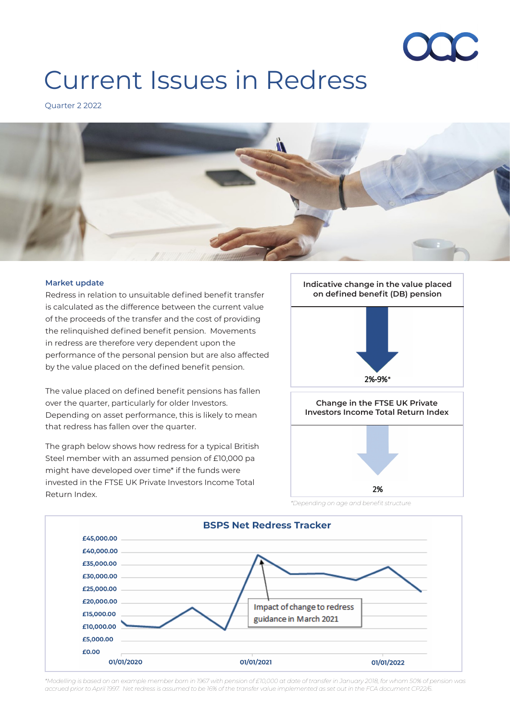

# Current Issues in Redress

Quarter 2 2022



#### **Market update**

Redress in relation to unsuitable defined benefit transfer is calculated as the difference between the current value of the proceeds of the transfer and the cost of providing the relinquished defined benefit pension. Movements in redress are therefore very dependent upon the performance of the personal pension but are also affected by the value placed on the defined benefit pension.

The value placed on defined benefit pensions has fallen over the quarter, particularly for older Investors. Depending on asset performance, this is likely to mean that redress has fallen over the quarter.

The graph below shows how redress for a typical British Steel member with an assumed pension of £10,000 pa might have developed over time\* if the funds were invested in the FTSE UK Private Investors Income Total Return Index.





*\*Modelling is based on an example member born in 1967 with pension of £10,000 at date of transfer in January 2018, for whom 50% of pension was accrued prior to April 1997. Net redress is assumed to be 16% of the transfer value implemented as set out in the FCA document CP22/6.*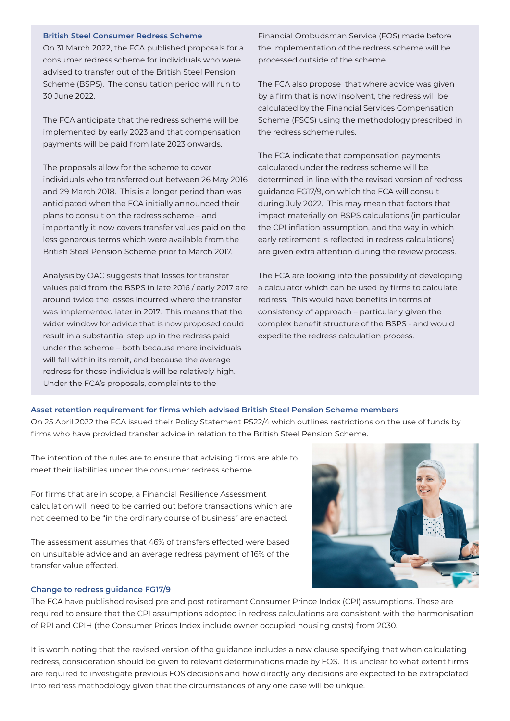#### **British Steel Consumer Redress Scheme**

On 31 March 2022, the FCA published proposals for a consumer redress scheme for individuals who were advised to transfer out of the British Steel Pension Scheme (BSPS). The consultation period will run to 30 June 2022.

The FCA anticipate that the redress scheme will be implemented by early 2023 and that compensation payments will be paid from late 2023 onwards.

The proposals allow for the scheme to cover individuals who transferred out between 26 May 2016 and 29 March 2018. This is a longer period than was anticipated when the FCA initially announced their plans to consult on the redress scheme – and importantly it now covers transfer values paid on the less generous terms which were available from the British Steel Pension Scheme prior to March 2017.

Analysis by OAC suggests that losses for transfer values paid from the BSPS in late 2016 / early 2017 are around twice the losses incurred where the transfer was implemented later in 2017. This means that the wider window for advice that is now proposed could result in a substantial step up in the redress paid under the scheme – both because more individuals will fall within its remit, and because the average redress for those individuals will be relatively high. Under the FCA's proposals, complaints to the

Financial Ombudsman Service (FOS) made before the implementation of the redress scheme will be processed outside of the scheme.

The FCA also propose that where advice was given by a firm that is now insolvent, the redress will be calculated by the Financial Services Compensation Scheme (FSCS) using the methodology prescribed in the redress scheme rules.

The FCA indicate that compensation payments calculated under the redress scheme will be determined in line with the revised version of redress guidance FG17/9, on which the FCA will consult during July 2022. This may mean that factors that impact materially on BSPS calculations (in particular the CPI inflation assumption, and the way in which early retirement is reflected in redress calculations) are given extra attention during the review process.

The FCA are looking into the possibility of developing a calculator which can be used by firms to calculate redress. This would have benefits in terms of consistency of approach – particularly given the complex benefit structure of the BSPS - and would expedite the redress calculation process.

## **Asset retention requirement for firms which advised British Steel Pension Scheme members**

On 25 April 2022 the FCA issued their Policy Statement PS22/4 which outlines restrictions on the use of funds by firms who have provided transfer advice in relation to the British Steel Pension Scheme.

The intention of the rules are to ensure that advising firms are able to meet their liabilities under the consumer redress scheme.

For firms that are in scope, a Financial Resilience Assessment calculation will need to be carried out before transactions which are not deemed to be "in the ordinary course of business" are enacted.

The assessment assumes that 46% of transfers effected were based on unsuitable advice and an average redress payment of 16% of the transfer value effected.

## **Change to redress guidance FG17/9**

The FCA have published revised pre and post retirement Consumer Prince Index (CPI) assumptions. These are required to ensure that the CPI assumptions adopted in redress calculations are consistent with the harmonisation of RPI and CPIH (the Consumer Prices Index include owner occupied housing costs) from 2030.

It is worth noting that the revised version of the guidance includes a new clause specifying that when calculating redress, consideration should be given to relevant determinations made by FOS. It is unclear to what extent firms are required to investigate previous FOS decisions and how directly any decisions are expected to be extrapolated into redress methodology given that the circumstances of any one case will be unique.